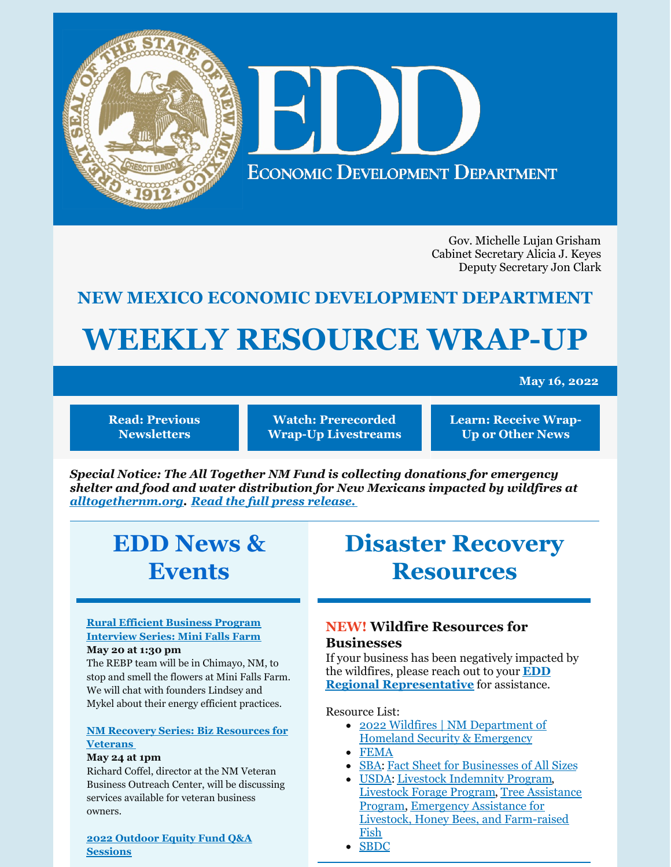

Gov. Michelle Lujan Grisham Cabinet Secretary Alicia J. Keyes Deputy Secretary Jon Clark

## **NEW MEXICO ECONOMIC DEVELOPMENT DEPARTMENT**

# **WEEKLY RESOURCE WRAP-UP**

**May 16, 2022**

**Read: Previous [Newsletters](https://edd.newmexico.gov/business-development/stay-informed-newsletters-and-webinars/)**

**Watch: [Prerecorded](https://youtube.com/playlist?list=PLGKR-UpukkDLaIt7LYfG78X31Y3qDftkz) Wrap-Up Livestreams** **Learn: [Receive](https://edd.newmexico.gov/newsletter/) Wrap-Up or Other News**

*Special Notice: The All Together NM Fund is collecting donations for emergency shelter and food and water distribution for New Mexicans impacted by wildfires at [alltogethernm.org](http://alltogethernm.org). Read the full press [release.](https://www.governor.state.nm.us/2022/04/26/all-together-nm-fund-coordinating-donations-for-new-mexicans-impacted-by-wildfires/)*

# **EDD News & Events**

# **Disaster Recovery Resources**

#### **Rural Efficient Business Program [Interview](https://www.tfaforms.com/4852579) Series: Mini Falls Farm May 20 at 1:30 pm**

The REBP team will be in Chimayo, NM, to stop and smell the flowers at Mini Falls Farm. We will chat with founders Lindsey and Mykel about their energy efficient practices.

#### **NM Recovery Series: Biz [Resources](https://register.gotowebinar.com/register/1065240272700733968) for Veterans**

#### **May 24 at 1pm**

Richard Coffel, director at the NM Veteran Business Outreach Center, will be discussing services available for veteran business owners.

#### **2022 Outdoor Equity Fund Q&A [Sessions](https://www.nmoutside.com/outdoor-recreation-events)**

## **NEW! Wildfire Resources for Businesses**

If your business has been negatively impacted by the wildfires, please reach out to your **EDD Regional [Representative](https://edd.newmexico.gov/community-development/)** for assistance.

Resource List:

- 2022 Wildfires | NM [Department](https://www.nmdhsem.org/2022-wildfires/) of Homeland Security & Emergency
- [FEMA](http://www.disasterassistance.gov)
- [SBA](https://www.sba.gov/funding-programs/disaster-assistance): Fact Sheet for [Businesses](https://disasterloanassistance.sba.gov/ela/s/article/Fact-Sheet-for-Businesses-of-All-Sizes) of All Sizes
- [USDA](https://www.fsa.usda.gov/programs-and-services/disaster-assistance-program/index): Livestock [Indemnity](https://www.fsa.usda.gov/programs-and-services/disaster-assistance-program/livestock-indemnity/index) Program, [Livestock](https://www.fsa.usda.gov/programs-and-services/disaster-assistance-program/livestock-forage/index) Forage Program, Tree Assistance Program, [Emergency](https://www.fsa.usda.gov/programs-and-services/disaster-assistance-program/tree-assistance-program/index) Assistance for Livestock, Honey Bees, and [Farm-raised](https://www.fsa.usda.gov/programs-and-services/disaster-assistance-program/emergency-assist-for-livestock-honey-bees-fish/index) Fish
- [SBDC](https://www.nmsbdc.org/)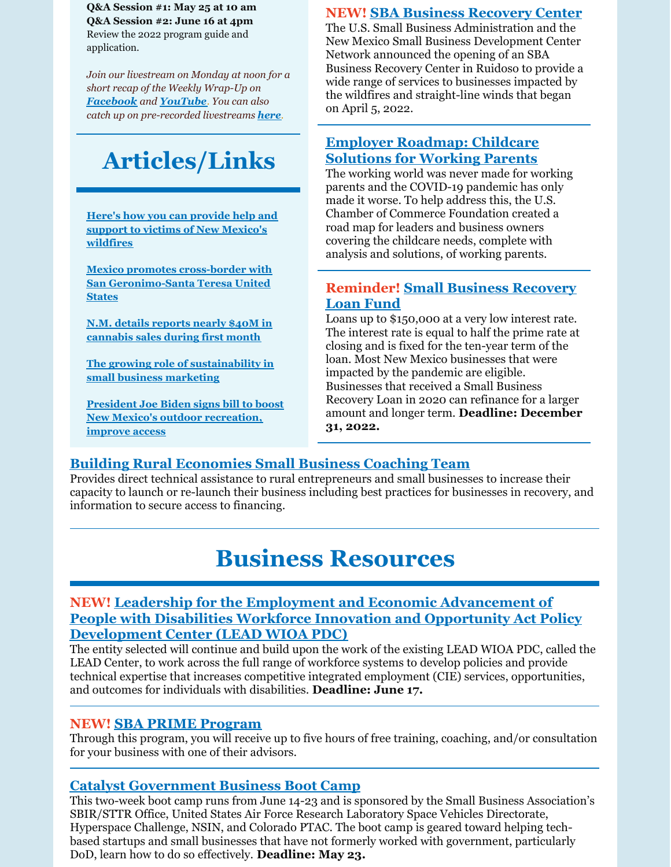**Q&A Session #1: May 25 at 10 am Q&A Session #2: June 16 at 4pm** Review the 2022 program guide and application.

*Join our livestream on Monday at noon for a short recap of the Weekly Wrap-Up on [Facebook](https://www.facebook.com/NewMexicoEconomicDevelopment/) and [YouTube](https://www.youtube.com/channel/UCEVKlfuuLNl4R0VH6GsxZRQ). You can also catch up on pre-recorded livestreams [here](https://youtube.com/playlist?list=PLGKR-UpukkDLaIt7LYfG78X31Y3qDftkz).*

# **Articles/Links**

**Here's how you can provide help and support to victims of New Mexico's [wildfires](https://www.koat.com/article/new-mexico-wildfires-help-donate-recovery-red-cross/39947191?msclkid=411c05ded13511ec9052382331b9bb8c#)**

**Mexico promotes cross-border with San [Geronimo-Santa](https://www.thevalleypost.com/mexico-promotes-cross-border-with-san-geronimo-santa-teresa-united-states/) Teresa United States**

**N.M. details reports nearly \$40M in [cannabis](https://financialregnews.com/new-mexico-details-reports-nearly-40m-in-cannabis-sales-during-first-month/) sales during first month**

**The growing role of [sustainability](https://www.greenbiz.com/article/growing-role-sustainability-small-business-marketing) in small business marketing**

**President Joe Biden signs bill to boost New Mexico's outdoor [recreation,](https://news.yahoo.com/president-joe-biden-signs-bill-124004850.html?guce_referrer=aHR0cHM6Ly93d3cuZ29vZ2xlLmNvbS8&guce_referrer_sig=AQAAAM4EYJeyM-pvYmQHxgt5j7i0DLlcSLorW3pPybRLsxMwptqdH0Dl7XzK7J12wU8cU4tBy1tt2_M2f-xdWVz9tm-DFJPXQRTcd0G19IeDfs9kVkvkrsraKXvZQm6JfONa8eqn_wt_7xUt8eZfqosZfHaho3QvZaYvrNa48M-AFaMq) improve access**

#### **NEW! SBA Business [Recovery](https://www.sba.gov/article/2022/may/10/sba-open-business-recovery-center-ruidoso-help-businesses-impacted-wildfires-straight-line-winds) Center**

The U.S. Small Business Administration and the New Mexico Small Business Development Center Network announced the opening of an SBA Business Recovery Center in Ruidoso to provide a wide range of services to businesses impacted by the wildfires and straight-line winds that began on April 5, 2022.

## **Employer [Roadmap:](https://www.uschamber.com/workforce/employer-roadmap-childcare-solutions-for-working-parents?utm_campaign=2022 AB Test&utm_medium=email&_hsmi=212015829&_hsenc=p2ANqtz-9pvyVAIrSBm6T5m0m2Nmzr7VE_93qEEcrTK_69AkSAkPN3uQgqWxgmM2MEcgY7ttZmmGxn9CSJ4_Jz4aHd7qkjjdynaaLmOwAgaO83BjuAvvoU18I&utm_content=212015829&utm_source=hs_email) Childcare Solutions for Working Parents**

The working world was never made for working parents and the COVID-19 pandemic has only made it worse. To help address this, the U.S. Chamber of Commerce Foundation created a road map for leaders and business owners covering the childcare needs, complete with analysis and solutions, of working parents.

#### **[Reminder!](https://www.nmfinance.com/small-business-recovery-loan-fund-2021/) Small Business Recovery Loan Fund**

Loans up to \$150,000 at a very low interest rate. The interest rate is equal to half the prime rate at closing and is fixed for the ten-year term of the loan. Most New Mexico businesses that were impacted by the pandemic are eligible. Businesses that received a Small Business Recovery Loan in 2020 can refinance for a larger amount and longer term. **Deadline: December 31, 2022.**

## **Building Rural [Economies](https://www.rcac.org/community-economic-development/building-rural-economies/small-business-coaching/) Small Business Coaching Team**

Provides direct technical assistance to rural entrepreneurs and small businesses to increase their capacity to launch or re-launch their business including best practices for businesses in recovery, and information to secure access to financing.

# **Business Resources**

#### **NEW! Leadership for the Employment and Economic [Advancement](https://www.grants.gov/web/grants/view-opportunity.html?oppId=337722) of People with Disabilities Workforce Innovation and Opportunity Act Policy Development Center (LEAD WIOA PDC)**

The entity selected will continue and build upon the work of the existing LEAD WIOA PDC, called the LEAD Center, to work across the full range of workforce systems to develop policies and provide technical expertise that increases competitive integrated employment (CIE) services, opportunities, and outcomes for individuals with disabilities. **Deadline: June 17.**

#### **NEW! SBA PRIME [Program](https://www.prestamosloans.org/sba-prime-program/?msclkid=969f670ad12911ecb68b0ed815ed99d0)**

Through this program, you will receive up to five hours of free training, coaching, and/or consultation for your business with one of their advisors.

## **Catalyst [Government](https://catalystaccelerator.space/catalyst-government-business-boot-camp/?utm_source=Catalyst+Accelerator+2021&utm_campaign=5c157179f9-EMAIL_CAMPAIGN_2021_02_16_08_38_COPY_01&utm_medium=email&utm_term=0_a7b911e2d5-5c157179f9-382055269&mc_cid=5c157179f9&mc_eid=9b0f53e657) Business Boot Camp**

This two-week boot camp runs from June 14-23 and is sponsored by the Small Business Association's SBIR/STTR Office, United States Air Force Research Laboratory Space Vehicles Directorate, Hyperspace Challenge, NSIN, and Colorado PTAC. The boot camp is geared toward helping techbased startups and small businesses that have not formerly worked with government, particularly DoD, learn how to do so effectively. **Deadline: May 23.**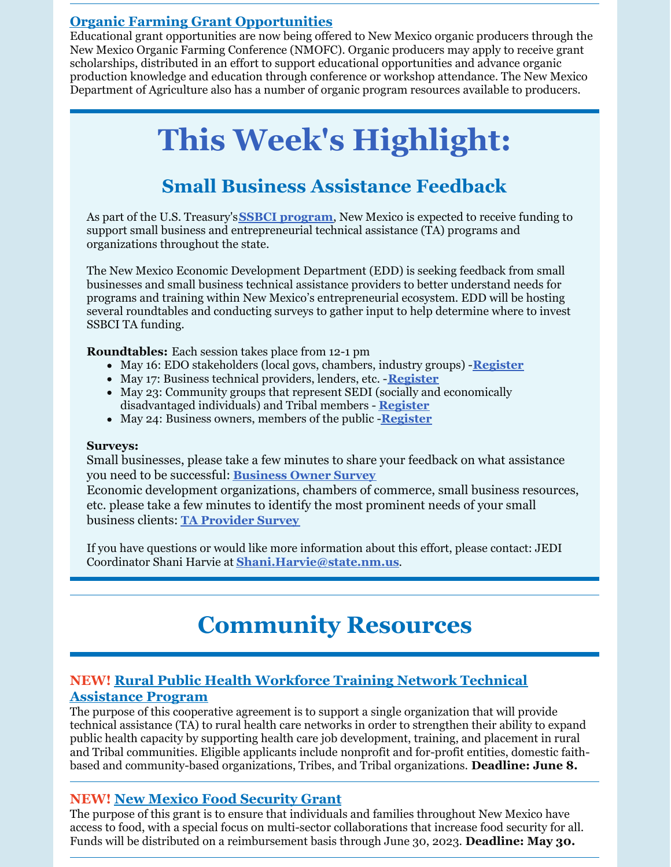## **Organic Farming Grant [Opportunities](https://nmdeptag.nmsu.edu/new-release/2022/grant-funding-available-for-new-mexico-organic-operations.html#:~:text=LAS CRUCES %E2%80%93 Educational grant opportunities are now,organic producers may apply to receive grant scholarships.)**

Educational grant opportunities are now being offered to New Mexico organic producers through the New Mexico Organic Farming Conference (NMOFC). Organic producers may apply to receive grant scholarships, distributed in an effort to support educational opportunities and advance organic production knowledge and education through conference or workshop attendance. The New Mexico Department of Agriculture also has a number of organic program resources available to producers.

# **This Week's Highlight:**

# **Small Business Assistance Feedback**

As part of the U.S. Treasury's**SSBCI [program](https://home.treasury.gov/policy-issues/small-business-programs/state-small-business-credit-initiative-ssbci)**, New Mexico is expected to receive funding to support small business and entrepreneurial technical assistance (TA) programs and organizations throughout the state.

The New Mexico Economic Development Department (EDD) is seeking feedback from small businesses and small business technical assistance providers to better understand needs for programs and training within New Mexico's entrepreneurial ecosystem. EDD will be hosting several roundtables and conducting surveys to gather input to help determine where to invest SSBCI TA funding.

**Roundtables:** Each session takes place from 12-1 pm

- May 16: EDO stakeholders (local govs, chambers, industry groups) -**[Register](https://attendee.gotowebinar.com/register/9181417295033318668)**
- May 17: Business technical providers, lenders, etc. -**[Register](https://attendee.gotowebinar.com/register/6671786402681124876)**
- May 23: Community groups that represent SEDI (socially and economically disadvantaged individuals) and Tribal members - **[Register](https://attendee.gotowebinar.com/register/7982700031617997067)**
- May 24: Business owners, members of the public -**[Register](https://attendee.gotowebinar.com/register/6570634631460633867)**

#### **Surveys:**

Small businesses, please take a few minutes to share your feedback on what assistance you need to be successful: **[Business](https://www.tfaforms.com/4978601) Owner Survey**

Economic development organizations, chambers of commerce, small business resources, etc. please take a few minutes to identify the most prominent needs of your small business clients: **TA [Provider](https://www.tfaforms.com/4982960) Survey**

If you have questions or would like more information about this effort, please contact: JEDI Coordinator Shani Harvie at **[Shani.Harvie@state.nm.us](mailto:Shani.Harvie@state.nm.us)**.

# **Community Resources**

## **NEW! Rural Public Health [Workforce](https://www.grants.gov/web/grants/view-opportunity.html?oppId=339531) Training Network Technical Assistance Program**

The purpose of this cooperative agreement is to support a single organization that will provide technical assistance (TA) to rural health care networks in order to strengthen their ability to expand public health capacity by supporting health care job development, training, and placement in rural and Tribal communities. Eligible applicants include nonprofit and for-profit entities, domestic faithbased and community-based organizations, Tribes, and Tribal organizations. **Deadline: June 8.**

#### **NEW! New Mexico Food [Security](https://forms.office.com/pages/responsepage.aspx?id=9GuqBDbUb0K_pAS3pw5g_4BmC-enmaBGrbrOJ7sesjNURTMyT0Q4QlQwMzNMV05ZTzZRUUpDUTdVWi4u) Grant**

The purpose of this grant is to ensure that individuals and families throughout New Mexico have access to food, with a special focus on multi-sector collaborations that increase food security for all. Funds will be distributed on a reimbursement basis through June 30, 2023. **Deadline: May 30.**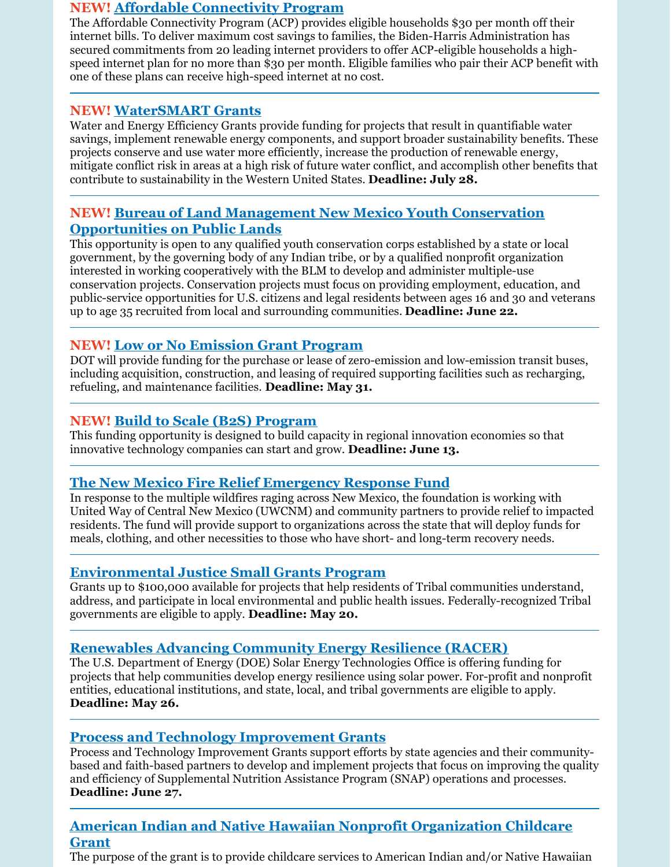#### **NEW! Affordable [Connectivity](https://www.whitehouse.gov/getinternet/?utm_source=www.getinternet.gov) Program**

The Affordable Connectivity Program (ACP) provides eligible households \$30 per month off their internet bills. To deliver maximum cost savings to families, the Biden-Harris Administration has secured commitments from 20 leading internet providers to offer ACP-eligible households a highspeed internet plan for no more than \$30 per month. Eligible families who pair their ACP benefit with one of these plans can receive high-speed internet at no cost.

#### **NEW! [WaterSMART](https://www.grants.gov/web/grants/view-opportunity.html?oppId=339953) Grants**

Water and Energy Efficiency Grants provide funding for projects that result in quantifiable water savings, implement renewable energy components, and support broader sustainability benefits. These projects conserve and use water more efficiently, increase the production of renewable energy, mitigate conflict risk in areas at a high risk of future water conflict, and accomplish other benefits that contribute to sustainability in the Western United States. **Deadline: July 28.**

#### **NEW! Bureau of Land Management New Mexico Youth Conservation [Opportunities](https://www.grants.gov/web/grants/view-opportunity.html?oppId=339979) on Public Lands**

This opportunity is open to any qualified youth conservation corps established by a state or local government, by the governing body of any Indian tribe, or by a qualified nonprofit organization interested in working cooperatively with the BLM to develop and administer multiple-use conservation projects. Conservation projects must focus on providing employment, education, and public-service opportunities for U.S. citizens and legal residents between ages 16 and 30 and veterans up to age 35 recruited from local and surrounding communities. **Deadline: June 22.**

## **NEW! Low or No [Emission](https://www.grants.gov/web/grants/view-opportunity.html?oppId=338546) Grant Program**

DOT will provide funding for the purchase or lease of zero-emission and low-emission transit buses, including acquisition, construction, and leasing of required supporting facilities such as recharging, refueling, and maintenance facilities. **Deadline: May 31.**

#### **NEW! Build to Scale (B2S) [Program](https://eda.gov/oie/buildtoscale/?utm_content=&utm_medium=email&utm_name=&utm_source=govdelivery&utm_term=)**

This funding opportunity is designed to build capacity in regional innovation economies so that innovative technology companies can start and grow. **Deadline: June 13.**

#### **The New Mexico Fire Relief [Emergency](https://albuquerquecf.fcsuite.com/erp/donate/create?funit_id=4333) Response Fund**

In response to the multiple wildfires raging across New Mexico, the foundation is working with United Way of Central New Mexico (UWCNM) and community partners to provide relief to impacted residents. The fund will provide support to organizations across the state that will deploy funds for meals, clothing, and other necessities to those who have short- and long-term recovery needs.

## **[Environmental](https://www.grants.gov/web/grants/view-opportunity.html?oppId=338812&mc_cid=91cf0762b4&mc_eid=418c19adac) Justice Small Grants Program**

Grants up to \$100,000 available for projects that help residents of Tribal communities understand, address, and participate in local environmental and public health issues. Federally-recognized Tribal governments are eligible to apply. **Deadline: May 20.**

## **[Renewables](https://eere-exchange.energy.gov/Default.aspx?mc_cid=91cf0762b4&mc_eid=418c19adac#FoaIdd548cb92-3ac6-4fa8-9978-44111b818724) Advancing Community Energy Resilience (RACER)**

The U.S. Department of Energy (DOE) Solar Energy Technologies Office is offering funding for projects that help communities develop energy resilience using solar power. For-profit and nonprofit entities, educational institutions, and state, local, and tribal governments are eligible to apply. **Deadline: May 26.**

#### **Process and Technology [Improvement](https://www.grants.gov/web/grants/view-opportunity.html?oppId=339808) Grants**

Process and Technology Improvement Grants support efforts by state agencies and their communitybased and faith-based partners to develop and implement projects that focus on improving the quality and efficiency of Supplemental Nutrition Assistance Program (SNAP) operations and processes. **Deadline: June 27.**

## **American Indian and Native Hawaiian Nonprofit [Organization](https://www.grants.gov/web/grants/view-opportunity.html?oppId=335555) Childcare Grant**

The purpose of the grant is to provide childcare services to American Indian and/or Native Hawaiian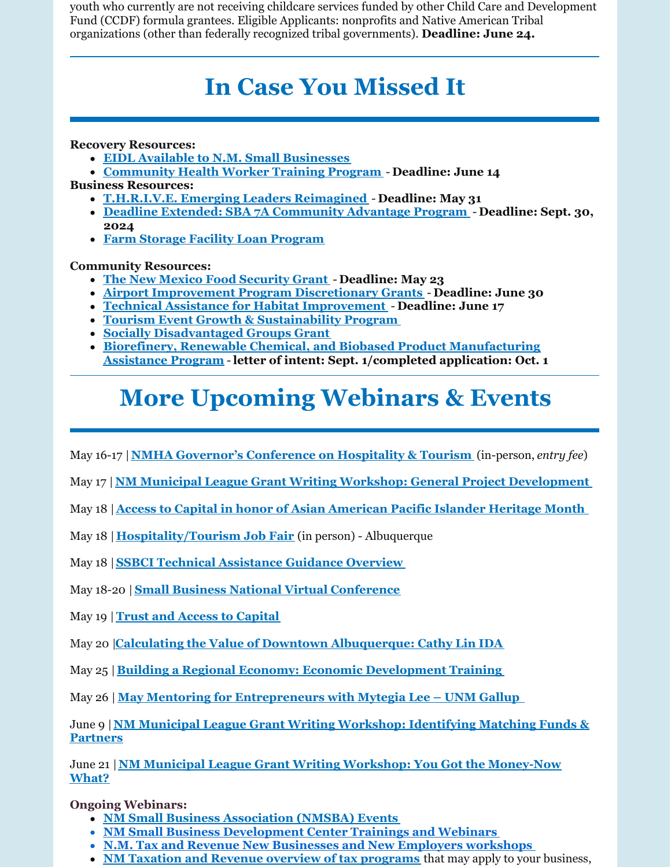youth who currently are not receiving childcare services funded by other Child Care and Development Fund (CCDF) formula grantees. Eligible Applicants: nonprofits and Native American Tribal organizations (other than federally recognized tribal governments). **Deadline: June 24.**

# **In Case You Missed It**

#### **Recovery Resources:**

- **EIDL Available to N.M. Small [Businesses](https://disasterloanassistance.sba.gov/ela/s/)**
- **[Community](https://www.grants.gov/web/grants/view-opportunity.html?oppId=336498) Health Worker Training Program Deadline: June 14**
- **Business Resources:**
	- **[T.H.R.I.V.E.](https://sbathrive.com/) Emerging Leaders Reimagined Deadline: May 31**
	- **Deadline Extended: SBA 7A [Community](https://www.sba.gov/sites/default/files/2020-11/sba-form-2449.pdf) Advantage Program Deadline: Sept. 30, 2024**
	- **Farm Storage Facility Loan [Program](https://www.fsa.usda.gov/programs-and-services/price-support/facility-loans/farm-storage/)**

#### **Community Resources:**

- **The New Mexico Food [Security](https://www.nmdfa.state.nm.us/budget-division/new-mexico-food-security-grant/) Grant Deadline: May 23**
- **Airport [Improvement](https://grantsforus.io/type-of-eligible-entity/organizations/local-government-agencies/2022-competitive-funding-opportunity-airport-improvement-program-discretionary-grants/#:~:text=2022 Competitive Funding Opportunity%3A Airport Improvement Program Discretionary,Airport Improvement Program %28AIP%29%2C per 49 U.S.C. 47115.) Program Discretionary Grants Deadline: June 30**
- **Technical Assistance for Habitat [Improvement](https://www.grants.gov/web/grants/view-opportunity.html?oppId=339549) Deadline: June 17**
- **Tourism Event Growth & [Sustainability](https://www.newmexico.org/industry/work-together/grants/tourism-event-growth-sustainability-program/tourism-event-growth-sustainability-program-overview/) Program**
- **Socially [Disadvantaged](https://www.rd.usda.gov/programs-services/business-programs/socially-disadvantaged-groups-grant) Groups Grant**
- **Biorefinery, Renewable Chemical, and Biobased Product [Manufacturing](https://www.rd.usda.gov/programs-services/energy-programs/biorefinery-renewable-chemical-and-biobased-product-manufacturing-assistance-program) Assistance Program** -**letter of intent: Sept. 1/completed application: Oct. 1**

# **More Upcoming Webinars & Events**

May 16-17 |**NMHA Governor's [Conference](https://newmexicohospitality.org/conference-on-hospitality-and-tourism/) on Hospitality & Tourism** (in-person, *entry fee*)

- May 17 | **NM Municipal League Grant Writing Workshop: General Project [Development](https://gcc02.safelinks.protection.outlook.com/?url=https%3A%2F%2Fr20.rs6.net%2Ftn.jsp%3Ff%3D001rDZa5v6kIi8ZPXLfrwXqtEnPjxT0sH8Y4w_ITbcgX6TsLn2WeTmE_7a0qu73xd9FE7ojz3NnprC9tq2RhjhS3oZH33H4rcO8SJD0KJLzog5vaJSEqb9l9RUPPdtBEAee0VWj_e0ZYWbhhM4DsM9UYZthixxplb1KHMMG9IzazZ9gjTKDMflc7hpCQqlRJUnB%26c%3DRneGoejP-gaPq7M77ZLvwZyZVQNLavCyzj3xywNvxWPBRBw4tgejZg%3D%3D%26ch%3DJB781o2OyGrvV9y5GzkHNyo6FYNOHWEFJgyb25IckXVw6dRRAL3hnw%3D%3D&data=04%7C01%7Cjennifer.myers%40state.nm.us%7Ce507173c32804900a0d708da1721a825%7C04aa6bf4d436426fbfa404b7a70e60ff%7C0%7C0%7C637847730574058851%7CUnknown%7CTWFpbGZsb3d8eyJWIjoiMC4wLjAwMDAiLCJQIjoiV2luMzIiLCJBTiI6Ik1haWwiLCJXVCI6Mn0%3D%7C3000&sdata=L%2Fr1kVmKzRJZ%2BsusG6w2I3%2BeeuWkZIu2loECMrtYB20%3D&reserved=0)**
- May 18 |**Access to Capital in honor of Asian [American](https://cabq.zoom.us/meeting/register/tZ0kd-Gsqj0vHNWVbAOb1lyYe9vLo3U2vTEm) Pacific Islander Heritage Month**
- May 18 |**[Hospitality/Tourism](https://www.newmexico.org/industry/news/post/state-agencies-join-forces-to-support-hiring-event-for-tourism-and-hospitality-employers/) Job Fair** (in person) Albuquerque
- May 18 |**SSBCI Technical [Assistance](https://ustreasury.zoomgov.com/meeting/register/vJIsf-moqTsrHxLhKaZFQ9o38HKcYarCxmA) Guidance Overview**
- May 18-20 |**Small Business National Virtual [Conference](https://access2success.hhs.gov/register-for-2022-small-business-national-conference/)**
- May 19 |**Trust and Access to [Capital](https://publicprivatestrategies.zoom.us/webinar/register/WN_wWLifgAqQoqRi707h1qxLA)**
- May 20 |**Calculating the Value of Downtown [Albuquerque:](https://cabq.zoom.us/meeting/register/tZMvcOCgrT0tGNDSfoBkbyLTs6Tqd665SkG1) Cathy Lin IDA**
- May 25 |**Building a Regional Economy: Economic [Development](https://events.r20.constantcontact.com/register/eventReg?oeidk=a07ej5105c6de971efe&oseq=&c=&ch=) Training**

May 26 | **May Mentoring for [Entrepreneurs](https://innovations.unm.edu/event/may-mentoring-for-entrepreneurs-with-mytegia-lee-unm-gallup/) with Mytegia Lee – UNM Gallup**

June 9 |**NM Municipal League Grant Writing [Workshop:](https://gcc02.safelinks.protection.outlook.com/?url=https%3A%2F%2Fr20.rs6.net%2Ftn.jsp%3Ff%3D001rDZa5v6kIi8ZPXLfrwXqtEnPjxT0sH8Y4w_ITbcgX6TsLn2WeTmE_7a0qu73xd9FRb0ME0nNU7_bIC9IzjjcVS4ltSRnmTFfAOfNq9Bq1qO3mgH5N8HFDxTTaRFXYY8MGp35uoaAiNyLQAWPSes_UqToijkYxLvkKzvLvo6fo5ktXQ0wHX17ZV2A_yv_P1Td%26c%3DRneGoejP-gaPq7M77ZLvwZyZVQNLavCyzj3xywNvxWPBRBw4tgejZg%3D%3D%26ch%3DJB781o2OyGrvV9y5GzkHNyo6FYNOHWEFJgyb25IckXVw6dRRAL3hnw%3D%3D&data=04%7C01%7Cjennifer.myers%40state.nm.us%7Ce507173c32804900a0d708da1721a825%7C04aa6bf4d436426fbfa404b7a70e60ff%7C0%7C0%7C637847730574058851%7CUnknown%7CTWFpbGZsb3d8eyJWIjoiMC4wLjAwMDAiLCJQIjoiV2luMzIiLCJBTiI6Ik1haWwiLCJXVCI6Mn0%3D%7C3000&sdata=ldUHM4TWbk4fWIoaYOoBMl0R8Vnazc9daigVIO6wjnM%3D&reserved=0) Identifying Matching Funds & Partners**

June 21 |**NM Municipal League Grant Writing Workshop: You Got the [Money-Now](https://gcc02.safelinks.protection.outlook.com/?url=https%3A%2F%2Fr20.rs6.net%2Ftn.jsp%3Ff%3D001rDZa5v6kIi8ZPXLfrwXqtEnPjxT0sH8Y4w_ITbcgX6TsLn2WeTmE_7a0qu73xd9F4m8NWfBKj2C_7iVDTAAupQCrsvaxoGLLUzkeBaqRVvLTUe6SMVvVEdVrUAsjHs6uYI1vWLMTa8BY3TyIRKsG5pjyaDfLMcrkJ7QGE5Zy7twA3QhoSVNuNcLIFGNEVOHC%26c%3DRneGoejP-gaPq7M77ZLvwZyZVQNLavCyzj3xywNvxWPBRBw4tgejZg%3D%3D%26ch%3DJB781o2OyGrvV9y5GzkHNyo6FYNOHWEFJgyb25IckXVw6dRRAL3hnw%3D%3D&data=04%7C01%7Cjennifer.myers%40state.nm.us%7Ce507173c32804900a0d708da1721a825%7C04aa6bf4d436426fbfa404b7a70e60ff%7C0%7C0%7C637847730574058851%7CUnknown%7CTWFpbGZsb3d8eyJWIjoiMC4wLjAwMDAiLCJQIjoiV2luMzIiLCJBTiI6Ik1haWwiLCJXVCI6Mn0%3D%7C3000&sdata=3fqEcUOHtj5F%2FrfJQNiWrim1hGESWSGZ9z5yF3Akqio%3D&reserved=0) What?**

#### **Ongoing Webinars:**

- **NM Small Business [Association](https://www.sba.gov/offices/district/nm/albuquerque) (NMSBA) Events**
- **NM Small Business [Development](http://www.nmsbdc.org/workshop-and-events.aspx) Center Trainings and Webinars**
- **N.M. Tax and Revenue New [Businesses](http://www.tax.newmexico.gov/workshop-schedule.aspx) and New Employers workshops**
- **NM Taxation and Revenue overview of tax [programs](https://www.youtube.com/watch?v=eiGiS04Cwbk)** that may apply to your business,